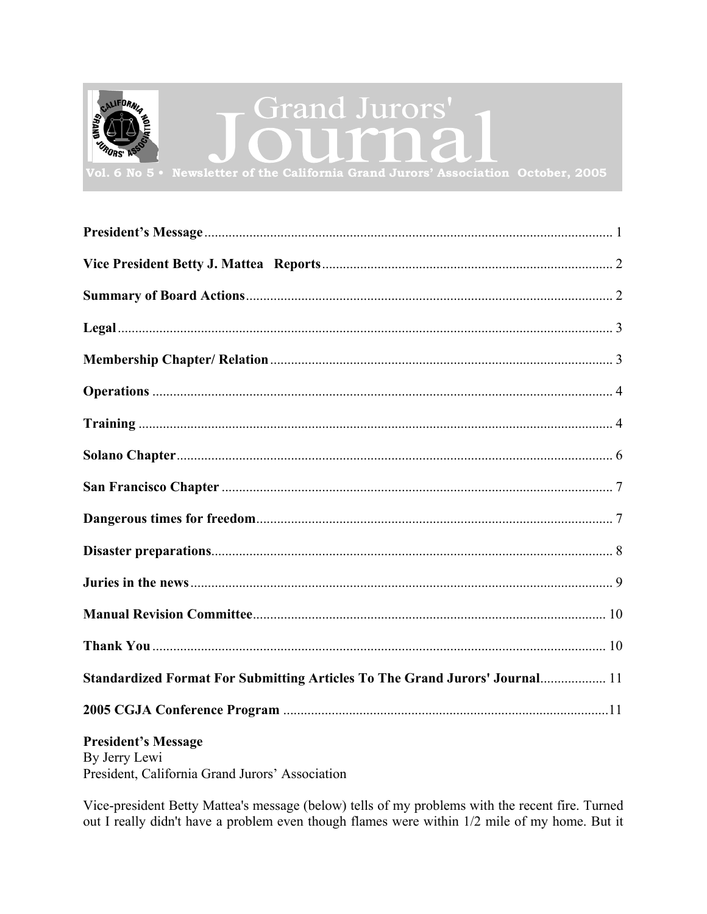<span id="page-0-0"></span>

| Standardized Format For Submitting Articles To The Grand Jurors' Journal 11 |  |
|-----------------------------------------------------------------------------|--|
|                                                                             |  |
|                                                                             |  |

# **President's Message**

By Jerry Lewi President, California Grand Jurors' Association

Vice-president Betty Mattea's message (below) tells of my problems with the recent fire. Turned out I really didn't have a problem even though flames were within 1/2 mile of my home. But it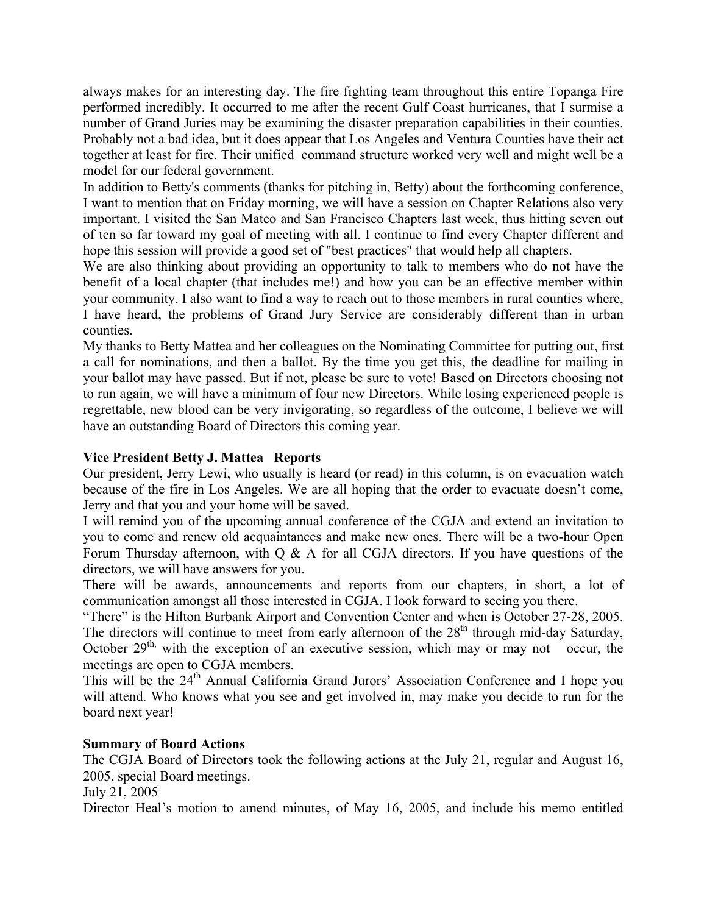<span id="page-1-0"></span>always makes for an interesting day. The fire fighting team throughout this entire Topanga Fire performed incredibly. It occurred to me after the recent Gulf Coast hurricanes, that I surmise a number of Grand Juries may be examining the disaster preparation capabilities in their counties. Probably not a bad idea, but it does appear that Los Angeles and Ventura Counties have their act together at least for fire. Their unified command structure worked very well and might well be a model for our federal government.

In addition to Betty's comments (thanks for pitching in, Betty) about the forthcoming conference, I want to mention that on Friday morning, we will have a session on Chapter Relations also very important. I visited the San Mateo and San Francisco Chapters last week, thus hitting seven out of ten so far toward my goal of meeting with all. I continue to find every Chapter different and hope this session will provide a good set of "best practices" that would help all chapters.

We are also thinking about providing an opportunity to talk to members who do not have the benefit of a local chapter (that includes me!) and how you can be an effective member within your community. I also want to find a way to reach out to those members in rural counties where, I have heard, the problems of Grand Jury Service are considerably different than in urban counties.

My thanks to Betty Mattea and her colleagues on the Nominating Committee for putting out, first a call for nominations, and then a ballot. By the time you get this, the deadline for mailing in your ballot may have passed. But if not, please be sure to vote! Based on Directors choosing not to run again, we will have a minimum of four new Directors. While losing experienced people is regrettable, new blood can be very invigorating, so regardless of the outcome, I believe we will have an outstanding Board of Directors this coming year.

## **Vice President Betty J. Mattea Reports**

Our president, Jerry Lewi, who usually is heard (or read) in this column, is on evacuation watch because of the fire in Los Angeles. We are all hoping that the order to evacuate doesn't come, Jerry and that you and your home will be saved.

I will remind you of the upcoming annual conference of the CGJA and extend an invitation to you to come and renew old acquaintances and make new ones. There will be a two-hour Open Forum Thursday afternoon, with  $Q \& A$  for all CGJA directors. If you have questions of the directors, we will have answers for you.

There will be awards, announcements and reports from our chapters, in short, a lot of communication amongst all those interested in CGJA. I look forward to seeing you there.

"There" is the Hilton Burbank Airport and Convention Center and when is October 27-28, 2005. The directors will continue to meet from early afternoon of the  $28<sup>th</sup>$  through mid-day Saturday, October  $29<sup>th</sup>$ , with the exception of an executive session, which may or may not occur, the meetings are open to CGJA members.

This will be the 24<sup>th</sup> Annual California Grand Jurors' Association Conference and I hope you will attend. Who knows what you see and get involved in, may make you decide to run for the board next year!

### **Summary of Board Actions**

The CGJA Board of Directors took the following actions at the July 21, regular and August 16, 2005, special Board meetings.

July 21, 2005

Director Heal's motion to amend minutes, of May 16, 2005, and include his memo entitled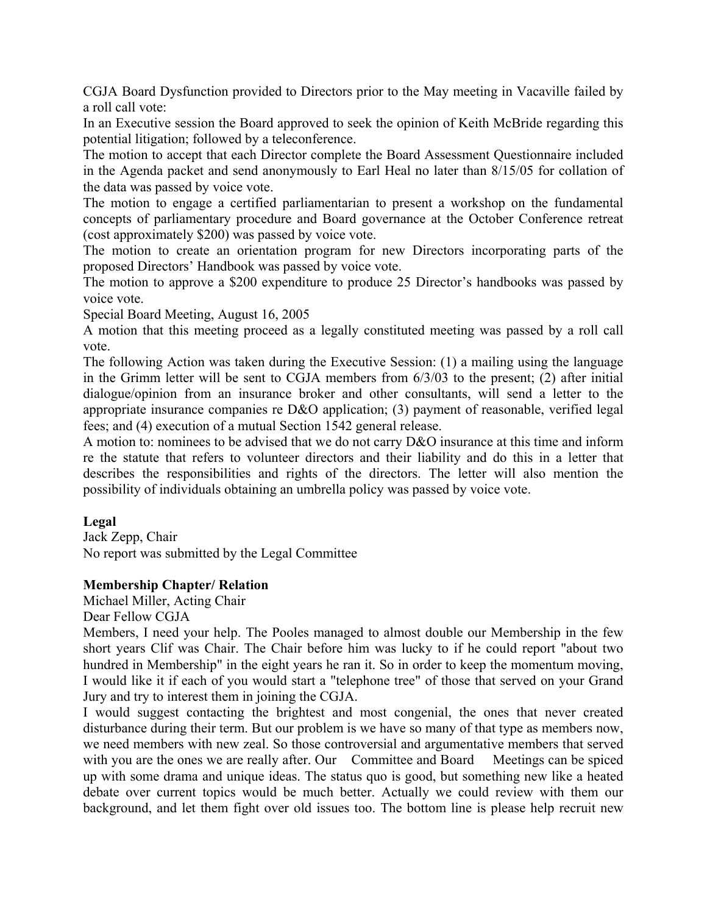<span id="page-2-0"></span>CGJA Board Dysfunction provided to Directors prior to the May meeting in Vacaville failed by a roll call vote:

In an Executive session the Board approved to seek the opinion of Keith McBride regarding this potential litigation; followed by a teleconference.

The motion to accept that each Director complete the Board Assessment Questionnaire included in the Agenda packet and send anonymously to Earl Heal no later than 8/15/05 for collation of the data was passed by voice vote.

The motion to engage a certified parliamentarian to present a workshop on the fundamental concepts of parliamentary procedure and Board governance at the October Conference retreat (cost approximately \$200) was passed by voice vote.

The motion to create an orientation program for new Directors incorporating parts of the proposed Directors' Handbook was passed by voice vote.

The motion to approve a \$200 expenditure to produce 25 Director's handbooks was passed by voice vote.

Special Board Meeting, August 16, 2005

A motion that this meeting proceed as a legally constituted meeting was passed by a roll call vote.

The following Action was taken during the Executive Session: (1) a mailing using the language in the Grimm letter will be sent to CGJA members from 6/3/03 to the present; (2) after initial dialogue/opinion from an insurance broker and other consultants, will send a letter to the appropriate insurance companies re D&O application; (3) payment of reasonable, verified legal fees; and (4) execution of a mutual Section 1542 general release.

A motion to: nominees to be advised that we do not carry D&O insurance at this time and inform re the statute that refers to volunteer directors and their liability and do this in a letter that describes the responsibilities and rights of the directors. The letter will also mention the possibility of individuals obtaining an umbrella policy was passed by voice vote.

## **Legal**

Jack Zepp, Chair No report was submitted by the Legal Committee

### **Membership Chapter/ Relation**

Michael Miller, Acting Chair

Dear Fellow CGJA

Members, I need your help. The Pooles managed to almost double our Membership in the few short years Clif was Chair. The Chair before him was lucky to if he could report "about two hundred in Membership" in the eight years he ran it. So in order to keep the momentum moving, I would like it if each of you would start a "telephone tree" of those that served on your Grand Jury and try to interest them in joining the CGJA.

I would suggest contacting the brightest and most congenial, the ones that never created disturbance during their term. But our problem is we have so many of that type as members now, we need members with new zeal. So those controversial and argumentative members that served with you are the ones we are really after. Our Committee and Board Meetings can be spiced up with some drama and unique ideas. The status quo is good, but something new like a heated debate over current topics would be much better. Actually we could review with them our background, and let them fight over old issues too. The bottom line is please help recruit new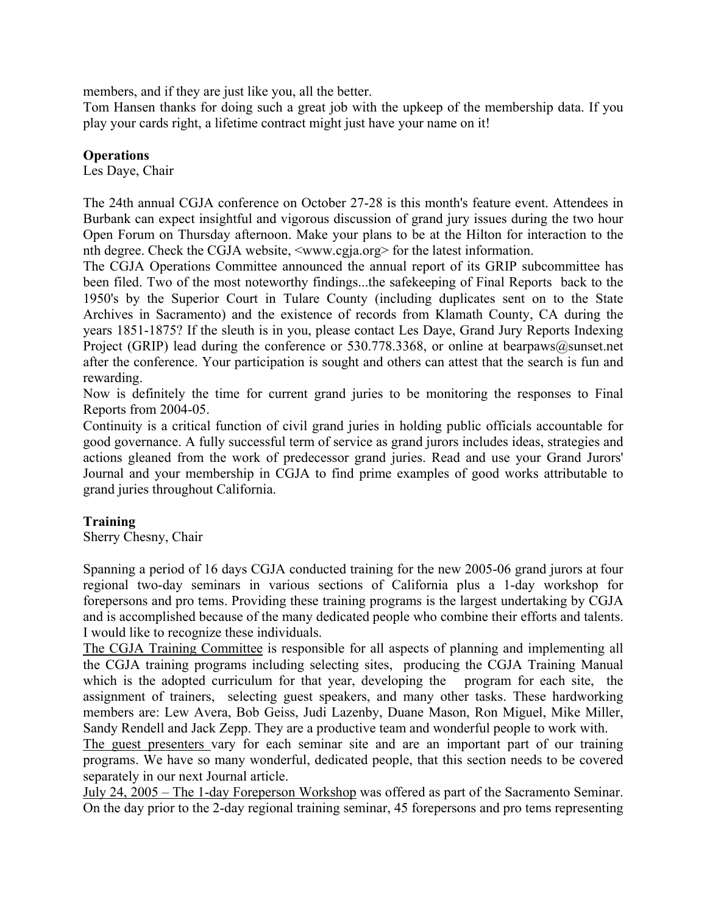<span id="page-3-0"></span>members, and if they are just like you, all the better.

Tom Hansen thanks for doing such a great job with the upkeep of the membership data. If you play your cards right, a lifetime contract might just have your name on it!

## **Operations**

Les Daye, Chair

The 24th annual CGJA conference on October 27-28 is this month's feature event. Attendees in Burbank can expect insightful and vigorous discussion of grand jury issues during the two hour Open Forum on Thursday afternoon. Make your plans to be at the Hilton for interaction to the nth degree. Check the CGJA website, <www.cgja.org> for the latest information.

The CGJA Operations Committee announced the annual report of its GRIP subcommittee has been filed. Two of the most noteworthy findings...the safekeeping of Final Reports back to the 1950's by the Superior Court in Tulare County (including duplicates sent on to the State Archives in Sacramento) and the existence of records from Klamath County, CA during the years 1851-1875? If the sleuth is in you, please contact Les Daye, Grand Jury Reports Indexing Project (GRIP) lead during the conference or 530.778.3368, or online at bearpaws@sunset.net after the conference. Your participation is sought and others can attest that the search is fun and rewarding.

Now is definitely the time for current grand juries to be monitoring the responses to Final Reports from 2004-05.

Continuity is a critical function of civil grand juries in holding public officials accountable for good governance. A fully successful term of service as grand jurors includes ideas, strategies and actions gleaned from the work of predecessor grand juries. Read and use your Grand Jurors' Journal and your membership in CGJA to find prime examples of good works attributable to grand juries throughout California.

## **Training**

Sherry Chesny, Chair

Spanning a period of 16 days CGJA conducted training for the new 2005-06 grand jurors at four regional two-day seminars in various sections of California plus a 1-day workshop for forepersons and pro tems. Providing these training programs is the largest undertaking by CGJA and is accomplished because of the many dedicated people who combine their efforts and talents. I would like to recognize these individuals.

The CGJA Training Committee is responsible for all aspects of planning and implementing all the CGJA training programs including selecting sites, producing the CGJA Training Manual which is the adopted curriculum for that year, developing the program for each site, the assignment of trainers, selecting guest speakers, and many other tasks. These hardworking members are: Lew Avera, Bob Geiss, Judi Lazenby, Duane Mason, Ron Miguel, Mike Miller, Sandy Rendell and Jack Zepp. They are a productive team and wonderful people to work with.

The guest presenters vary for each seminar site and are an important part of our training programs. We have so many wonderful, dedicated people, that this section needs to be covered separately in our next Journal article.

July 24, 2005 – The 1-day Foreperson Workshop was offered as part of the Sacramento Seminar. On the day prior to the 2-day regional training seminar, 45 forepersons and pro tems representing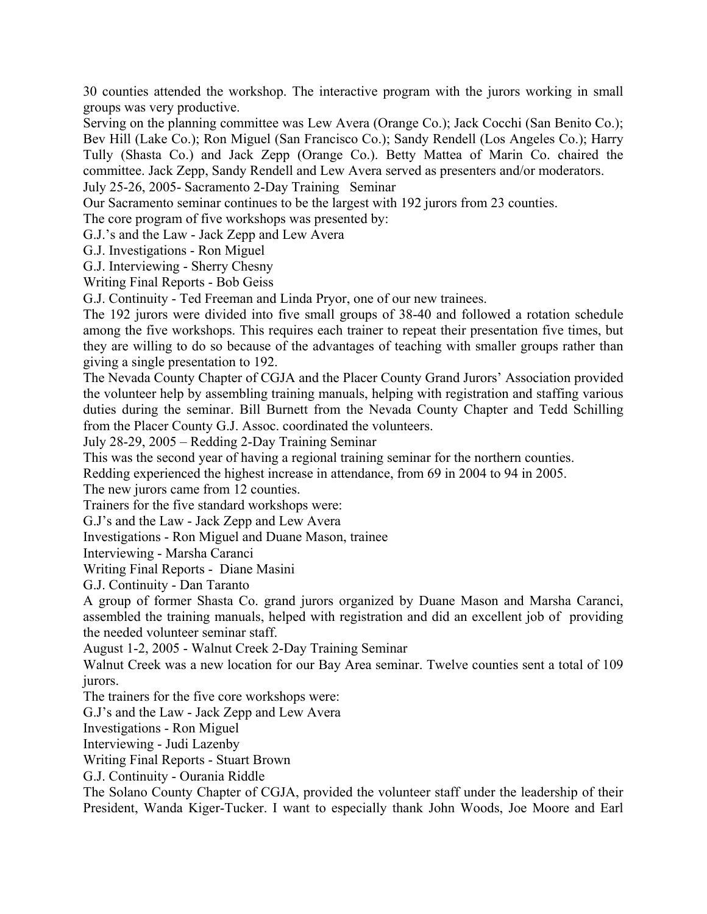30 counties attended the workshop. The interactive program with the jurors working in small groups was very productive.

Serving on the planning committee was Lew Avera (Orange Co.); Jack Cocchi (San Benito Co.); Bev Hill (Lake Co.); Ron Miguel (San Francisco Co.); Sandy Rendell (Los Angeles Co.); Harry Tully (Shasta Co.) and Jack Zepp (Orange Co.). Betty Mattea of Marin Co. chaired the committee. Jack Zepp, Sandy Rendell and Lew Avera served as presenters and/or moderators. July 25-26, 2005- Sacramento 2-Day Training Seminar

Our Sacramento seminar continues to be the largest with 192 jurors from 23 counties.

The core program of five workshops was presented by:

G.J.'s and the Law - Jack Zepp and Lew Avera

G.J. Investigations - Ron Miguel

G.J. Interviewing - Sherry Chesny

Writing Final Reports - Bob Geiss

G.J. Continuity - Ted Freeman and Linda Pryor, one of our new trainees.

The 192 jurors were divided into five small groups of 38-40 and followed a rotation schedule among the five workshops. This requires each trainer to repeat their presentation five times, but they are willing to do so because of the advantages of teaching with smaller groups rather than giving a single presentation to 192.

The Nevada County Chapter of CGJA and the Placer County Grand Jurors' Association provided the volunteer help by assembling training manuals, helping with registration and staffing various duties during the seminar. Bill Burnett from the Nevada County Chapter and Tedd Schilling from the Placer County G.J. Assoc. coordinated the volunteers.

July 28-29, 2005 – Redding 2-Day Training Seminar

This was the second year of having a regional training seminar for the northern counties.

Redding experienced the highest increase in attendance, from 69 in 2004 to 94 in 2005.

The new jurors came from 12 counties.

Trainers for the five standard workshops were:

G.J's and the Law - Jack Zepp and Lew Avera

Investigations - Ron Miguel and Duane Mason, trainee

Interviewing - Marsha Caranci

Writing Final Reports - Diane Masini

G.J. Continuity - Dan Taranto

A group of former Shasta Co. grand jurors organized by Duane Mason and Marsha Caranci, assembled the training manuals, helped with registration and did an excellent job of providing the needed volunteer seminar staff.

August 1-2, 2005 - Walnut Creek 2-Day Training Seminar

Walnut Creek was a new location for our Bay Area seminar. Twelve counties sent a total of 109 jurors.

The trainers for the five core workshops were:

G.J's and the Law - Jack Zepp and Lew Avera

Investigations - Ron Miguel

Interviewing - Judi Lazenby

Writing Final Reports - Stuart Brown

G.J. Continuity - Ourania Riddle

The Solano County Chapter of CGJA, provided the volunteer staff under the leadership of their President, Wanda Kiger-Tucker. I want to especially thank John Woods, Joe Moore and Earl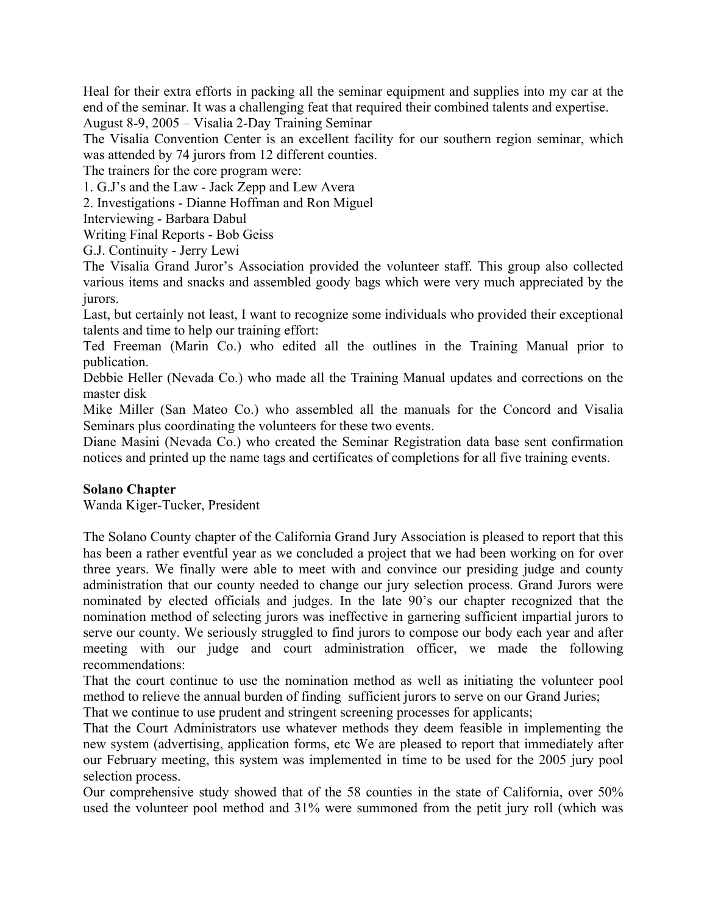<span id="page-5-0"></span>Heal for their extra efforts in packing all the seminar equipment and supplies into my car at the end of the seminar. It was a challenging feat that required their combined talents and expertise.

August 8-9, 2005 – Visalia 2-Day Training Seminar

The Visalia Convention Center is an excellent facility for our southern region seminar, which was attended by 74 jurors from 12 different counties.

The trainers for the core program were:

1. G.J's and the Law - Jack Zepp and Lew Avera

2. Investigations - Dianne Hoffman and Ron Miguel

Interviewing - Barbara Dabul

Writing Final Reports - Bob Geiss

G.J. Continuity - Jerry Lewi

The Visalia Grand Juror's Association provided the volunteer staff. This group also collected various items and snacks and assembled goody bags which were very much appreciated by the jurors.

Last, but certainly not least, I want to recognize some individuals who provided their exceptional talents and time to help our training effort:

Ted Freeman (Marin Co.) who edited all the outlines in the Training Manual prior to publication.

Debbie Heller (Nevada Co.) who made all the Training Manual updates and corrections on the master disk

Mike Miller (San Mateo Co.) who assembled all the manuals for the Concord and Visalia Seminars plus coordinating the volunteers for these two events.

Diane Masini (Nevada Co.) who created the Seminar Registration data base sent confirmation notices and printed up the name tags and certificates of completions for all five training events.

### **Solano Chapter**

Wanda Kiger-Tucker, President

The Solano County chapter of the California Grand Jury Association is pleased to report that this has been a rather eventful year as we concluded a project that we had been working on for over three years. We finally were able to meet with and convince our presiding judge and county administration that our county needed to change our jury selection process. Grand Jurors were nominated by elected officials and judges. In the late 90's our chapter recognized that the nomination method of selecting jurors was ineffective in garnering sufficient impartial jurors to serve our county. We seriously struggled to find jurors to compose our body each year and after meeting with our judge and court administration officer, we made the following recommendations:

That the court continue to use the nomination method as well as initiating the volunteer pool method to relieve the annual burden of finding sufficient jurors to serve on our Grand Juries;

That we continue to use prudent and stringent screening processes for applicants;

That the Court Administrators use whatever methods they deem feasible in implementing the new system (advertising, application forms, etc We are pleased to report that immediately after our February meeting, this system was implemented in time to be used for the 2005 jury pool selection process.

Our comprehensive study showed that of the 58 counties in the state of California, over 50% used the volunteer pool method and 31% were summoned from the petit jury roll (which was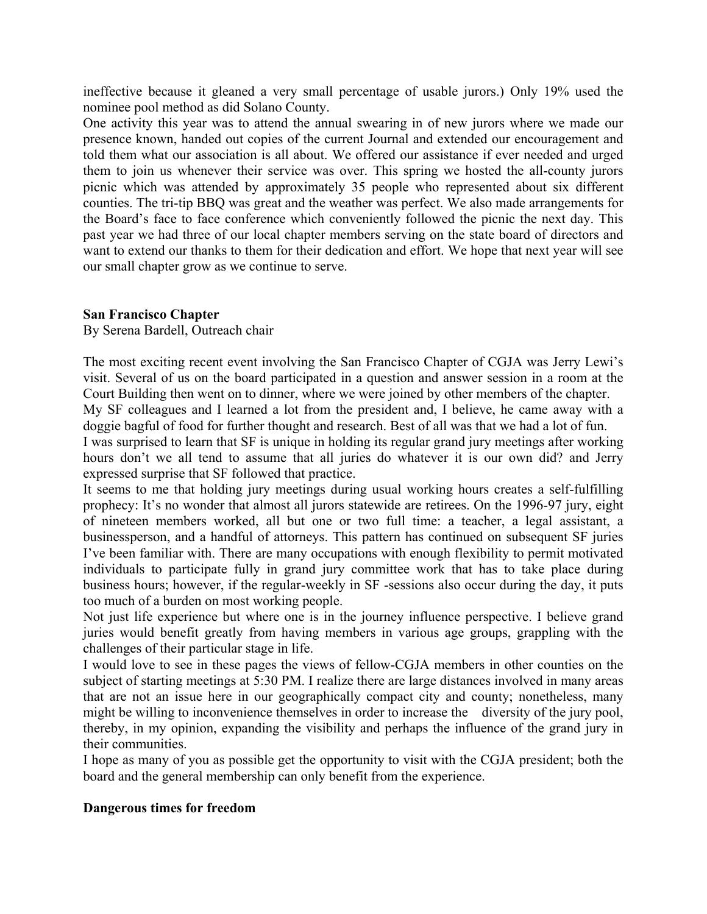<span id="page-6-0"></span>ineffective because it gleaned a very small percentage of usable jurors.) Only 19% used the nominee pool method as did Solano County.

One activity this year was to attend the annual swearing in of new jurors where we made our presence known, handed out copies of the current Journal and extended our encouragement and told them what our association is all about. We offered our assistance if ever needed and urged them to join us whenever their service was over. This spring we hosted the all-county jurors picnic which was attended by approximately 35 people who represented about six different counties. The tri-tip BBQ was great and the weather was perfect. We also made arrangements for the Board's face to face conference which conveniently followed the picnic the next day. This past year we had three of our local chapter members serving on the state board of directors and want to extend our thanks to them for their dedication and effort. We hope that next year will see our small chapter grow as we continue to serve.

### **San Francisco Chapter**

By Serena Bardell, Outreach chair

The most exciting recent event involving the San Francisco Chapter of CGJA was Jerry Lewi's visit. Several of us on the board participated in a question and answer session in a room at the Court Building then went on to dinner, where we were joined by other members of the chapter.

My SF colleagues and I learned a lot from the president and, I believe, he came away with a doggie bagful of food for further thought and research. Best of all was that we had a lot of fun.

I was surprised to learn that SF is unique in holding its regular grand jury meetings after working hours don't we all tend to assume that all juries do whatever it is our own did? and Jerry expressed surprise that SF followed that practice.

It seems to me that holding jury meetings during usual working hours creates a self-fulfilling prophecy: It's no wonder that almost all jurors statewide are retirees. On the 1996-97 jury, eight of nineteen members worked, all but one or two full time: a teacher, a legal assistant, a businessperson, and a handful of attorneys. This pattern has continued on subsequent SF juries I've been familiar with. There are many occupations with enough flexibility to permit motivated individuals to participate fully in grand jury committee work that has to take place during business hours; however, if the regular-weekly in SF -sessions also occur during the day, it puts too much of a burden on most working people.

Not just life experience but where one is in the journey influence perspective. I believe grand juries would benefit greatly from having members in various age groups, grappling with the challenges of their particular stage in life.

I would love to see in these pages the views of fellow-CGJA members in other counties on the subject of starting meetings at 5:30 PM. I realize there are large distances involved in many areas that are not an issue here in our geographically compact city and county; nonetheless, many might be willing to inconvenience themselves in order to increase the diversity of the jury pool, thereby, in my opinion, expanding the visibility and perhaps the influence of the grand jury in their communities.

I hope as many of you as possible get the opportunity to visit with the CGJA president; both the board and the general membership can only benefit from the experience.

### **Dangerous times for freedom**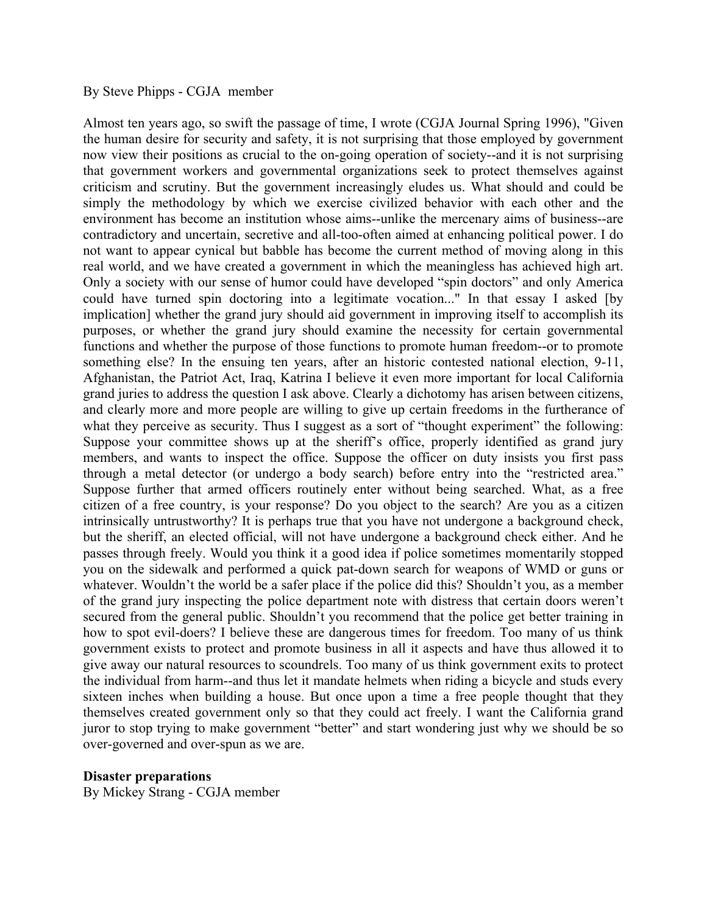#### <span id="page-7-0"></span>By Steve Phipps - CGJA member

Almost ten years ago, so swift the passage of time, I wrote (CGJA Journal Spring 1996), "Given the human desire for security and safety, it is not surprising that those employed by government now view their positions as crucial to the on-going operation of society--and it is not surprising that government workers and governmental organizations seek to protect themselves against criticism and scrutiny. But the government increasingly eludes us. What should and could be simply the methodology by which we exercise civilized behavior with each other and the environment has become an institution whose aims--unlike the mercenary aims of business--are contradictory and uncertain, secretive and all-too-often aimed at enhancing political power. I do not want to appear cynical but babble has become the current method of moving along in this real world, and we have created a government in which the meaningless has achieved high art. Only a society with our sense of humor could have developed "spin doctors" and only America could have turned spin doctoring into a legitimate vocation..." In that essay I asked [by implication] whether the grand jury should aid government in improving itself to accomplish its purposes, or whether the grand jury should examine the necessity for certain governmental functions and whether the purpose of those functions to promote human freedom--or to promote something else? In the ensuing ten years, after an historic contested national election, 9-11, Afghanistan, the Patriot Act, Iraq, Katrina I believe it even more important for local California grand juries to address the question I ask above. Clearly a dichotomy has arisen between citizens, and clearly more and more people are willing to give up certain freedoms in the furtherance of what they perceive as security. Thus I suggest as a sort of "thought experiment" the following: Suppose your committee shows up at the sheriff's office, properly identified as grand jury members, and wants to inspect the office. Suppose the officer on duty insists you first pass through a metal detector (or undergo a body search) before entry into the "restricted area." Suppose further that armed officers routinely enter without being searched. What, as a free citizen of a free country, is your response? Do you object to the search? Are you as a citizen intrinsically untrustworthy? It is perhaps true that you have not undergone a background check, but the sheriff, an elected official, will not have undergone a background check either. And he passes through freely. Would you think it a good idea if police sometimes momentarily stopped you on the sidewalk and performed a quick pat-down search for weapons of WMD or guns or whatever. Wouldn't the world be a safer place if the police did this? Shouldn't you, as a member of the grand jury inspecting the police department note with distress that certain doors weren't secured from the general public. Shouldn't you recommend that the police get better training in how to spot evil-doers? I believe these are dangerous times for freedom. Too many of us think government exists to protect and promote business in all it aspects and have thus allowed it to give away our natural resources to scoundrels. Too many of us think government exits to protect the individual from harm--and thus let it mandate helmets when riding a bicycle and studs every sixteen inches when building a house. But once upon a time a free people thought that they themselves created government only so that they could act freely. I want the California grand juror to stop trying to make government "better" and start wondering just why we should be so over-governed and over-spun as we are.

#### **Disaster preparations**

By Mickey Strang - CGJA member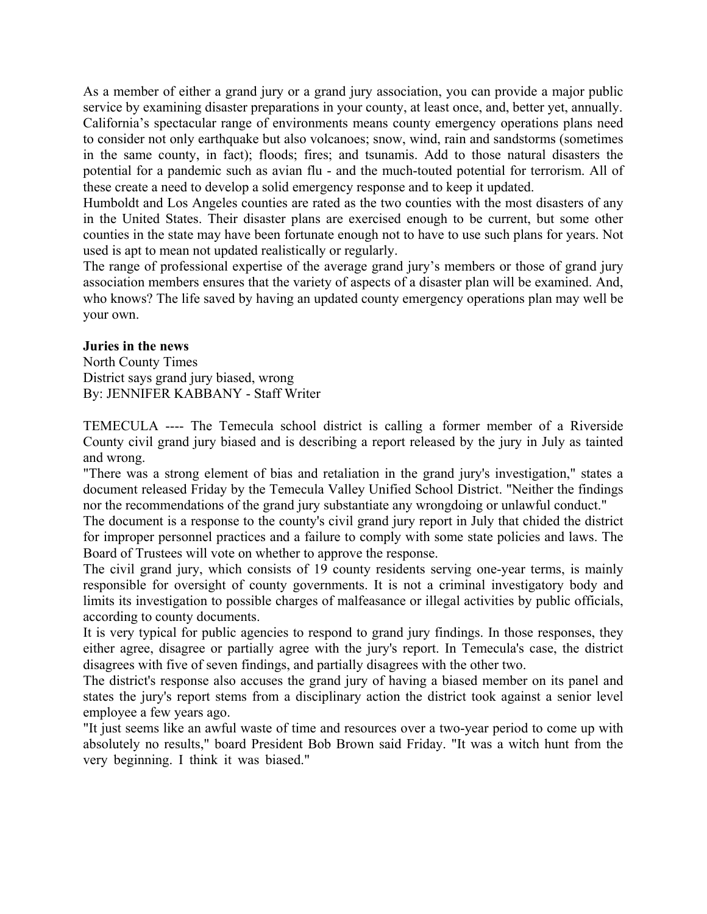<span id="page-8-0"></span>As a member of either a grand jury or a grand jury association, you can provide a major public service by examining disaster preparations in your county, at least once, and, better yet, annually. California's spectacular range of environments means county emergency operations plans need to consider not only earthquake but also volcanoes; snow, wind, rain and sandstorms (sometimes in the same county, in fact); floods; fires; and tsunamis. Add to those natural disasters the potential for a pandemic such as avian flu - and the much-touted potential for terrorism. All of these create a need to develop a solid emergency response and to keep it updated.

Humboldt and Los Angeles counties are rated as the two counties with the most disasters of any in the United States. Their disaster plans are exercised enough to be current, but some other counties in the state may have been fortunate enough not to have to use such plans for years. Not used is apt to mean not updated realistically or regularly.

The range of professional expertise of the average grand jury's members or those of grand jury association members ensures that the variety of aspects of a disaster plan will be examined. And, who knows? The life saved by having an updated county emergency operations plan may well be your own.

### **Juries in the news**

North County Times District says grand jury biased, wrong By: JENNIFER KABBANY - Staff Writer

TEMECULA ---- The Temecula school district is calling a former member of a Riverside County civil grand jury biased and is describing a report released by the jury in July as tainted and wrong.

"There was a strong element of bias and retaliation in the grand jury's investigation," states a document released Friday by the Temecula Valley Unified School District. "Neither the findings nor the recommendations of the grand jury substantiate any wrongdoing or unlawful conduct."

The document is a response to the county's civil grand jury report in July that chided the district for improper personnel practices and a failure to comply with some state policies and laws. The Board of Trustees will vote on whether to approve the response.

The civil grand jury, which consists of 19 county residents serving one-year terms, is mainly responsible for oversight of county governments. It is not a criminal investigatory body and limits its investigation to possible charges of malfeasance or illegal activities by public officials, according to county documents.

It is very typical for public agencies to respond to grand jury findings. In those responses, they either agree, disagree or partially agree with the jury's report. In Temecula's case, the district disagrees with five of seven findings, and partially disagrees with the other two.

The district's response also accuses the grand jury of having a biased member on its panel and states the jury's report stems from a disciplinary action the district took against a senior level employee a few years ago.

"It just seems like an awful waste of time and resources over a two-year period to come up with absolutely no results," board President Bob Brown said Friday. "It was a witch hunt from the very beginning. I think it was biased."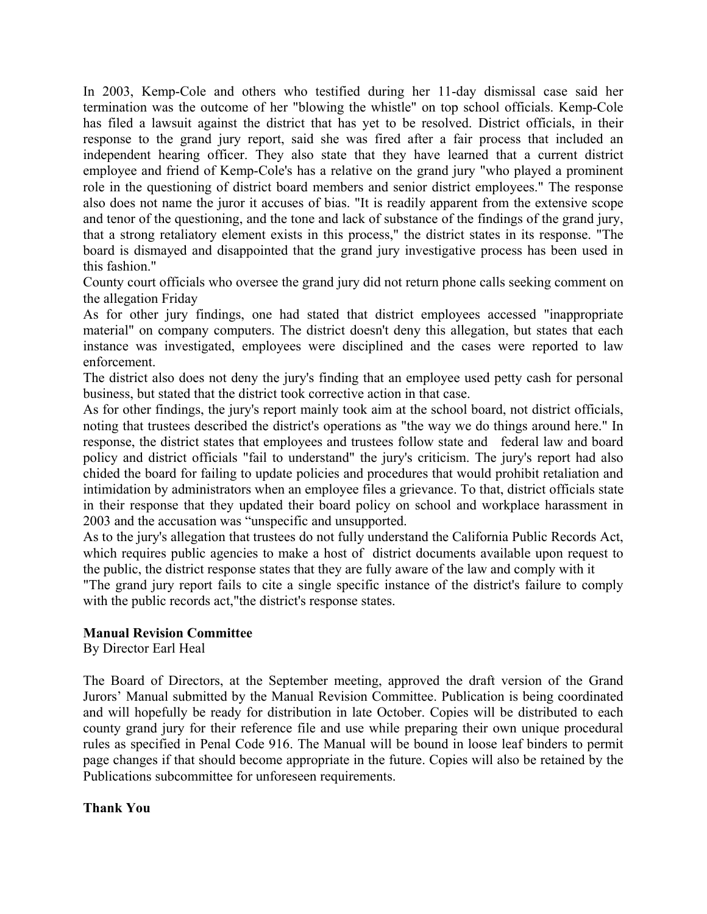<span id="page-9-0"></span>In 2003, Kemp-Cole and others who testified during her 11-day dismissal case said her termination was the outcome of her "blowing the whistle" on top school officials. Kemp-Cole has filed a lawsuit against the district that has yet to be resolved. District officials, in their response to the grand jury report, said she was fired after a fair process that included an independent hearing officer. They also state that they have learned that a current district employee and friend of Kemp-Cole's has a relative on the grand jury "who played a prominent role in the questioning of district board members and senior district employees." The response also does not name the juror it accuses of bias. "It is readily apparent from the extensive scope and tenor of the questioning, and the tone and lack of substance of the findings of the grand jury, that a strong retaliatory element exists in this process," the district states in its response. "The board is dismayed and disappointed that the grand jury investigative process has been used in this fashion."

County court officials who oversee the grand jury did not return phone calls seeking comment on the allegation Friday

As for other jury findings, one had stated that district employees accessed "inappropriate material" on company computers. The district doesn't deny this allegation, but states that each instance was investigated, employees were disciplined and the cases were reported to law enforcement.

The district also does not deny the jury's finding that an employee used petty cash for personal business, but stated that the district took corrective action in that case.

As for other findings, the jury's report mainly took aim at the school board, not district officials, noting that trustees described the district's operations as "the way we do things around here." In response, the district states that employees and trustees follow state and federal law and board policy and district officials "fail to understand" the jury's criticism. The jury's report had also chided the board for failing to update policies and procedures that would prohibit retaliation and intimidation by administrators when an employee files a grievance. To that, district officials state in their response that they updated their board policy on school and workplace harassment in 2003 and the accusation was "unspecific and unsupported.

As to the jury's allegation that trustees do not fully understand the California Public Records Act, which requires public agencies to make a host of district documents available upon request to the public, the district response states that they are fully aware of the law and comply with it

"The grand jury report fails to cite a single specific instance of the district's failure to comply with the public records act,"the district's response states.

### **Manual Revision Committee**

By Director Earl Heal

The Board of Directors, at the September meeting, approved the draft version of the Grand Jurors' Manual submitted by the Manual Revision Committee. Publication is being coordinated and will hopefully be ready for distribution in late October. Copies will be distributed to each county grand jury for their reference file and use while preparing their own unique procedural rules as specified in Penal Code 916. The Manual will be bound in loose leaf binders to permit page changes if that should become appropriate in the future. Copies will also be retained by the Publications subcommittee for unforeseen requirements.

**Thank You**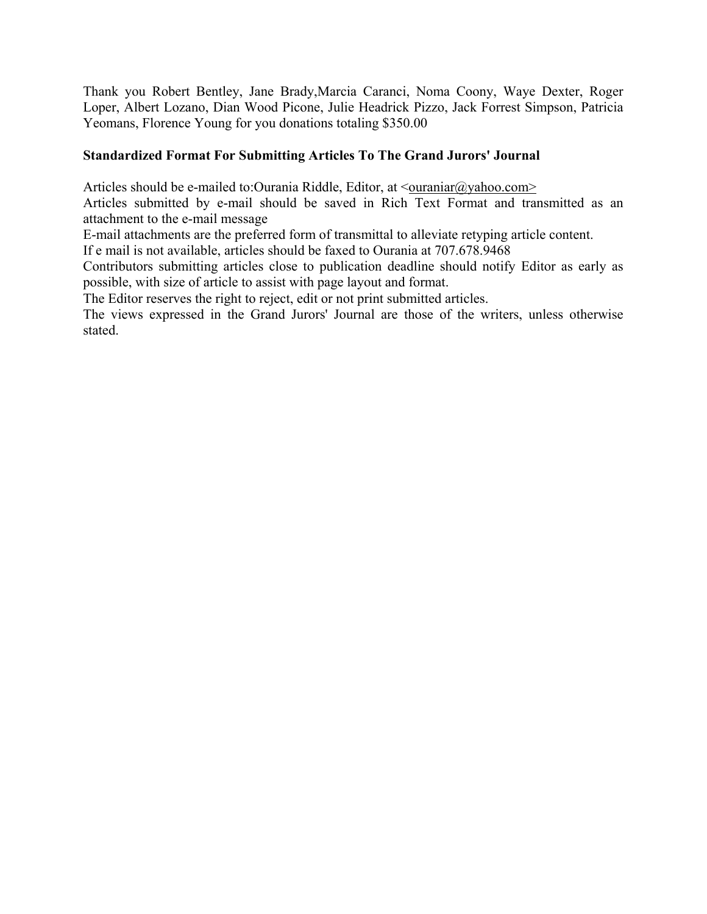<span id="page-10-0"></span>Thank you Robert Bentley, Jane Brady,Marcia Caranci, Noma Coony, Waye Dexter, Roger Loper, Albert Lozano, Dian Wood Picone, Julie Headrick Pizzo, Jack Forrest Simpson, Patricia Yeomans, Florence Young for you donations totaling \$350.00

## **Standardized Format For Submitting Articles To The Grand Jurors' Journal**

Articles should be e-mailed to:Ourania Riddle, Editor, at  $\langle$ ouraniar $\langle \omega \rangle$ yahoo.com>

Articles submitted by e-mail should be saved in Rich Text Format and transmitted as an attachment to the e-mail message

E-mail attachments are the preferred form of transmittal to alleviate retyping article content.

If e mail is not available, articles should be faxed to Ourania at 707.678.9468

Contributors submitting articles close to publication deadline should notify Editor as early as possible, with size of article to assist with page layout and format.

The Editor reserves the right to reject, edit or not print submitted articles.

The views expressed in the Grand Jurors' Journal are those of the writers, unless otherwise stated.